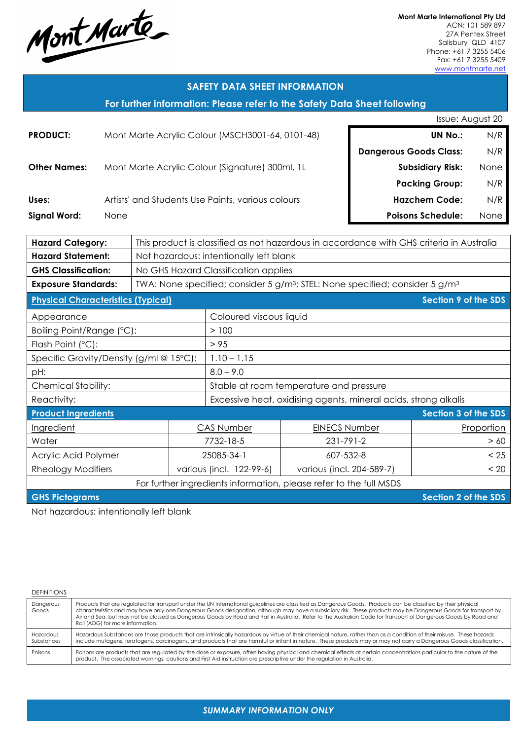Mont Marte

**Mont Marte International Pty Ltd** ACN: 101 589 897 27A Pentex Street Salisbury QLD 4107 Phone: +61 7 3255 5406 Fax: +61 7 3255 5409

www.montmarte.net

#### **SAFETY DATA SHEET INFORMATION**

**For further information: Please refer to the Safety Data Sheet following**

|                                                                    |                                                   |                                                  |                          |                                                                                                      |  |                               | Issue: August 20            |      |
|--------------------------------------------------------------------|---------------------------------------------------|--------------------------------------------------|--------------------------|------------------------------------------------------------------------------------------------------|--|-------------------------------|-----------------------------|------|
| <b>PRODUCT:</b>                                                    |                                                   | Mont Marte Acrylic Colour (MSCH3001-64, 0101-48) |                          |                                                                                                      |  | <b>UN No.:</b>                | N/R                         |      |
|                                                                    |                                                   |                                                  |                          |                                                                                                      |  | <b>Dangerous Goods Class:</b> |                             | N/R  |
| <b>Other Names:</b>                                                |                                                   |                                                  |                          | Mont Marte Acrylic Colour (Signature) 300ml, 1L                                                      |  |                               | <b>Subsidiary Risk:</b>     | None |
|                                                                    |                                                   |                                                  |                          |                                                                                                      |  |                               | <b>Packing Group:</b>       | N/R  |
| Uses:                                                              | Artists' and Students Use Paints, various colours |                                                  |                          |                                                                                                      |  |                               | <b>Hazchem Code:</b>        | N/R  |
| <b>Signal Word:</b>                                                | None                                              |                                                  |                          |                                                                                                      |  |                               | <b>Poisons Schedule:</b>    | None |
|                                                                    |                                                   |                                                  |                          |                                                                                                      |  |                               |                             |      |
| <b>Hazard Category:</b>                                            |                                                   |                                                  |                          | This product is classified as not hazardous in accordance with GHS criteria in Australia             |  |                               |                             |      |
| <b>Hazard Statement:</b>                                           |                                                   |                                                  |                          | Not hazardous: intentionally left blank                                                              |  |                               |                             |      |
| <b>GHS Classification:</b>                                         |                                                   |                                                  |                          | No GHS Hazard Classification applies                                                                 |  |                               |                             |      |
| <b>Exposure Standards:</b>                                         |                                                   |                                                  |                          | TWA: None specified; consider 5 g/m <sup>3</sup> ; STEL: None specified; consider 5 g/m <sup>3</sup> |  |                               |                             |      |
| <b>Physical Characteristics (Typical)</b>                          |                                                   |                                                  |                          |                                                                                                      |  |                               | Section 9 of the SDS        |      |
| Appearance                                                         |                                                   |                                                  |                          | Coloured viscous liquid                                                                              |  |                               |                             |      |
| Boiling Point/Range (°C):                                          |                                                   |                                                  |                          | >100                                                                                                 |  |                               |                             |      |
| Flash Point (°C):                                                  |                                                   |                                                  |                          | > 95                                                                                                 |  |                               |                             |      |
| Specific Gravity/Density (g/ml @ 15°C):                            |                                                   |                                                  |                          | $1.10 - 1.15$                                                                                        |  |                               |                             |      |
| pH:                                                                |                                                   |                                                  |                          | $8.0 - 9.0$                                                                                          |  |                               |                             |      |
| <b>Chemical Stability:</b>                                         |                                                   |                                                  |                          | Stable at room temperature and pressure                                                              |  |                               |                             |      |
| Reactivity:                                                        |                                                   |                                                  |                          | Excessive heat, oxidising agents, mineral acids, strong alkalis                                      |  |                               |                             |      |
| <b>Product Ingredients</b>                                         |                                                   |                                                  |                          |                                                                                                      |  |                               | Section 3 of the SDS        |      |
| Ingredient                                                         |                                                   | <b>CAS Number</b>                                |                          | <b>EINECS Number</b>                                                                                 |  |                               | Proportion                  |      |
| Water                                                              |                                                   | 7732-18-5                                        |                          | 231-791-2                                                                                            |  |                               | > 60                        |      |
| Acrylic Acid Polymer                                               |                                                   | 25085-34-1                                       |                          | 607-532-8                                                                                            |  |                               | < 25                        |      |
| <b>Rheology Modifiers</b>                                          |                                                   |                                                  | various (incl. 122-99-6) | various (incl. 204-589-7)                                                                            |  |                               | < 20                        |      |
| For further ingredients information, please refer to the full MSDS |                                                   |                                                  |                          |                                                                                                      |  |                               |                             |      |
| <b>GHS Pictograms</b>                                              |                                                   |                                                  |                          |                                                                                                      |  |                               | <b>Section 2 of the SDS</b> |      |

Not hazardous: intentionally left blank

| <b>DEFINITIONS</b>      |                                                                                                                                                                                                                                                                                                                                                                                                                                                                                                                                          |
|-------------------------|------------------------------------------------------------------------------------------------------------------------------------------------------------------------------------------------------------------------------------------------------------------------------------------------------------------------------------------------------------------------------------------------------------------------------------------------------------------------------------------------------------------------------------------|
| Dangerous<br>Goods      | Products that are regulated for transport under the UN International guidelines are classified as Dangerous Goods. Products can be classified by their physical<br>characteristics and may have only one Dangerous Goods designation, although may have a subsidiary risk. These products may be Dangerous Goods for transport by<br>Air and Sea, but may not be classed as Dangerous Goods by Road and Rail in Australia. Refer to the Australian Code for Transport of Dangerous Goods by Road and<br>Rail (ADG) for more information. |
| Hazardous<br>Substances | Hazardous Substances are those products that are intrinsically hazardous by virtue of their chemical nature, rather than as a condition of their misuse. These hazards<br>include mutagens, teratogens, carcinogens, and products that are harmful or irritant in nature. These products may or may not carry a Dangerous Goods classification.                                                                                                                                                                                          |
| Poisons                 | Poisons are products that are regulated by the dose or exposure, often having physical and chemical effects at certain concentrations particular to the nature of the<br>product. The associated warnings, cautions and First Aid instruction are prescriptive under the regulation in Australia.                                                                                                                                                                                                                                        |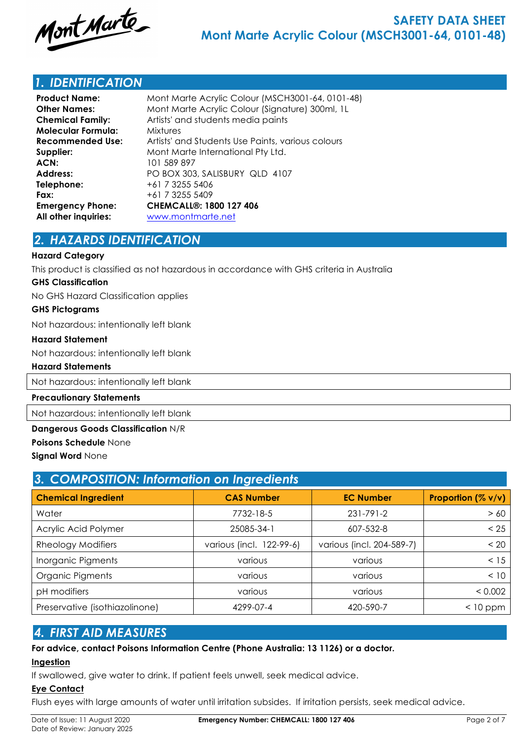

## *1. IDENTIFICATION*

| Mont Marte Acrylic Colour (MSCH3001-64, 0101-48)  |
|---------------------------------------------------|
| Mont Marte Acrylic Colour (Signature) 300ml, 1L   |
| Artists' and students media paints                |
| <b>Mixtures</b>                                   |
| Artists' and Students Use Paints, various colours |
| Mont Marte International Pty Ltd.                 |
| 101 589 897                                       |
| PO BOX 303, SALISBURY QLD 4107                    |
| +61 7 3255 5406                                   |
| +61 7 3255 5409                                   |
| <b>CHEMCALL®: 1800 127 406</b>                    |
| www.montmarte.net                                 |
|                                                   |

## *2. HAZARDS IDENTIFICATION*

#### **Hazard Category**

This product is classified as not hazardous in accordance with GHS criteria in Australia

#### **GHS Classification**

No GHS Hazard Classification applies

#### **GHS Pictograms**

Not hazardous: intentionally left blank

#### **Hazard Statement**

Not hazardous: intentionally left blank

#### **Hazard Statements**

Not hazardous: intentionally left blank

#### **Precautionary Statements**

Not hazardous: intentionally left blank

#### **Dangerous Goods Classification** N/R

**Poisons Schedule** None

#### **Signal Word** None

| 3. COMPOSITION: Information on Ingredients |                          |                           |                    |  |  |
|--------------------------------------------|--------------------------|---------------------------|--------------------|--|--|
| <b>Chemical Ingredient</b>                 | <b>CAS Number</b>        | <b>EC Number</b>          | Proportion (% v/v) |  |  |
| Water                                      | 7732-18-5                | $231 - 791 - 2$           | > 60               |  |  |
| Acrylic Acid Polymer                       | 25085-34-1               | 607-532-8                 | < 25               |  |  |
| <b>Rheology Modifiers</b>                  | various (incl. 122-99-6) | various (incl. 204-589-7) | < 20               |  |  |
| Inorganic Pigments                         | various                  | various                   | < 15               |  |  |
| Organic Pigments                           | various                  | various                   | < 10               |  |  |
| pH modifiers                               | various                  | various                   | < 0.002            |  |  |
| Preservative (isothiazolinone)             | 4299-07-4                | 420-590-7                 | $<$ 10 ppm         |  |  |

## *4. FIRST AID MEASURES*

## **For advice, contact Poisons Information Centre (Phone Australia: 13 1126) or a doctor.**

#### **Ingestion**

If swallowed, give water to drink. If patient feels unwell, seek medical advice.

## **Eye Contact**

Flush eyes with large amounts of water until irritation subsides. If irritation persists, seek medical advice.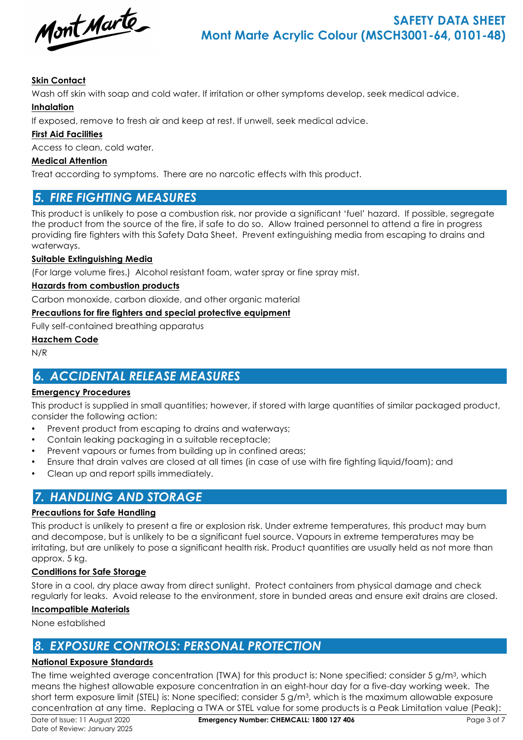

## **Skin Contact**

Wash off skin with soap and cold water. If irritation or other symptoms develop, seek medical advice.

## **Inhalation**

If exposed, remove to fresh air and keep at rest. If unwell, seek medical advice.

## **First Aid Facilities**

Access to clean, cold water.

### **Medical Attention**

Treat according to symptoms. There are no narcotic effects with this product.

## *5. FIRE FIGHTING MEASURES*

This product is unlikely to pose a combustion risk, nor provide a significant 'fuel' hazard. If possible, segregate the product from the source of the fire, if safe to do so. Allow trained personnel to attend a fire in progress providing fire fighters with this Safety Data Sheet. Prevent extinguishing media from escaping to drains and waterways.

#### **Suitable Extinguishing Media**

(For large volume fires.) Alcohol resistant foam, water spray or fine spray mist.

#### **Hazards from combustion products**

Carbon monoxide, carbon dioxide, and other organic material

#### **Precautions for fire fighters and special protective equipment**

Fully self-contained breathing apparatus

#### **Hazchem Code**

N/R

# *6. ACCIDENTAL RELEASE MEASURES*

## **Emergency Procedures**

This product is supplied in small quantities; however, if stored with large quantities of similar packaged product, consider the following action:

- Prevent product from escaping to drains and waterways;
- Contain leaking packaging in a suitable receptacle;
- Prevent vapours or fumes from building up in confined areas;
- Ensure that drain valves are closed at all times (in case of use with fire fighting liquid/foam); and
- Clean up and report spills immediately.

## *7. HANDLING AND STORAGE*

## **Precautions for Safe Handling**

This product is unlikely to present a fire or explosion risk. Under extreme temperatures, this product may burn and decompose, but is unlikely to be a significant fuel source. Vapours in extreme temperatures may be irritating, but are unlikely to pose a significant health risk. Product quantities are usually held as not more than approx. 5 kg.

## **Conditions for Safe Storage**

Store in a cool, dry place away from direct sunlight. Protect containers from physical damage and check regularly for leaks. Avoid release to the environment, store in bunded areas and ensure exit drains are closed.

#### **Incompatible Materials**

None established

## *8. EXPOSURE CONTROLS: PERSONAL PROTECTION*

## **National Exposure Standards**

The time weighted average concentration (TWA) for this product is: None specified; consider 5 g/m<sup>3</sup>, which means the highest allowable exposure concentration in an eight-hour day for a five-day working week. The short term exposure limit (STEL) is: None specified; consider 5 g/m3, which is the maximum allowable exposure concentration at any time. Replacing a TWA or STEL value for some products is a Peak Limitation value (Peak):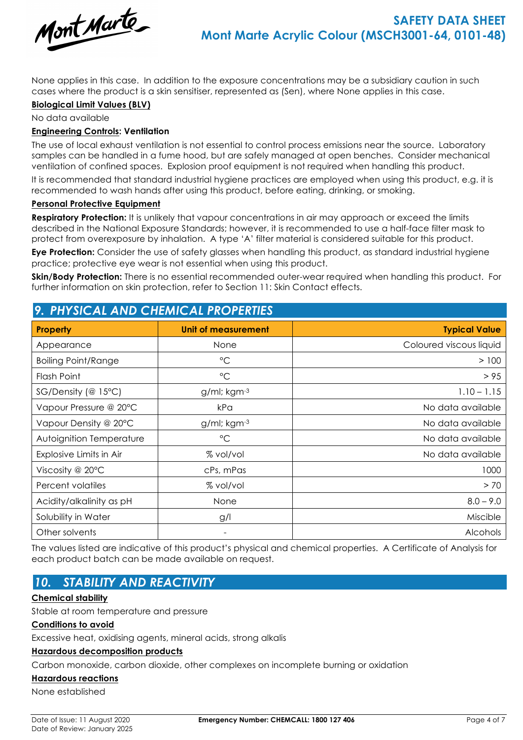

None applies in this case. In addition to the exposure concentrations may be a subsidiary caution in such cases where the product is a skin sensitiser, represented as (Sen), where None applies in this case.

#### **Biological Limit Values (BLV)**

No data available

#### **Engineering Controls: Ventilation**

The use of local exhaust ventilation is not essential to control process emissions near the source. Laboratory samples can be handled in a fume hood, but are safely managed at open benches. Consider mechanical ventilation of confined spaces. Explosion proof equipment is not required when handling this product.

It is recommended that standard industrial hygiene practices are employed when using this product, e.g. it is recommended to wash hands after using this product, before eating, drinking, or smoking.

#### **Personal Protective Equipment**

**Respiratory Protection:** It is unlikely that vapour concentrations in air may approach or exceed the limits described in the National Exposure Standards; however, it is recommended to use a half-face filter mask to protect from overexposure by inhalation. A type 'A' filter material is considered suitable for this product.

**Eye Protection:** Consider the use of safety glasses when handling this product, as standard industrial hygiene practice; protective eye wear is not essential when using this product.

**Skin/Body Protection:** There is no essential recommended outer-wear required when handling this product. For further information on skin protection, refer to Section 11: Skin Contact effects.

| <u>7. PHISICAL AND CHEMICAL PROPERTIES</u> |                          |                         |  |  |  |
|--------------------------------------------|--------------------------|-------------------------|--|--|--|
| <b>Property</b>                            | Unit of measurement      | <b>Typical Value</b>    |  |  |  |
| Appearance                                 | None                     | Coloured viscous liquid |  |  |  |
| <b>Boiling Point/Range</b>                 | $\rm ^{\circ}C$          | >100                    |  |  |  |
| Flash Point                                | $\rm ^{\circ}C$          | > 95                    |  |  |  |
| $SG/Density$ (@ 15°C)                      | g/ml; kgm-3              | $1.10 - 1.15$           |  |  |  |
| Vapour Pressure @ 20°C                     | kPa                      | No data available       |  |  |  |
| Vapour Density @ 20°C                      | $g$ /ml; kgm $-3$        | No data available       |  |  |  |
| Autoignition Temperature                   | $\rm ^{\circ}C$          | No data available       |  |  |  |
| Explosive Limits in Air                    | % vol/vol                | No data available       |  |  |  |
| Viscosity @ 20°C                           | cPs, mPas                | 1000                    |  |  |  |
| Percent volatiles                          | % vol/vol                | > 70                    |  |  |  |
| Acidity/alkalinity as pH                   | None                     | $8.0 - 9.0$             |  |  |  |
| Solubility in Water                        | g/l                      | Miscible                |  |  |  |
| Other solvents                             | $\overline{\phantom{a}}$ | <b>Alcohols</b>         |  |  |  |

The values listed are indicative of this product's physical and chemical properties. A Certificate of Analysis for each product batch can be made available on request.

## *10. STABILITY AND REACTIVITY*

## **Chemical stability**

Stable at room temperature and pressure

#### **Conditions to avoid**

Excessive heat, oxidising agents, mineral acids, strong alkalis

*9. PHYSICAL AND CHEMICAL PROPERTIES*

#### **Hazardous decomposition products**

Carbon monoxide, carbon dioxide, other complexes on incomplete burning or oxidation

#### **Hazardous reactions**

None established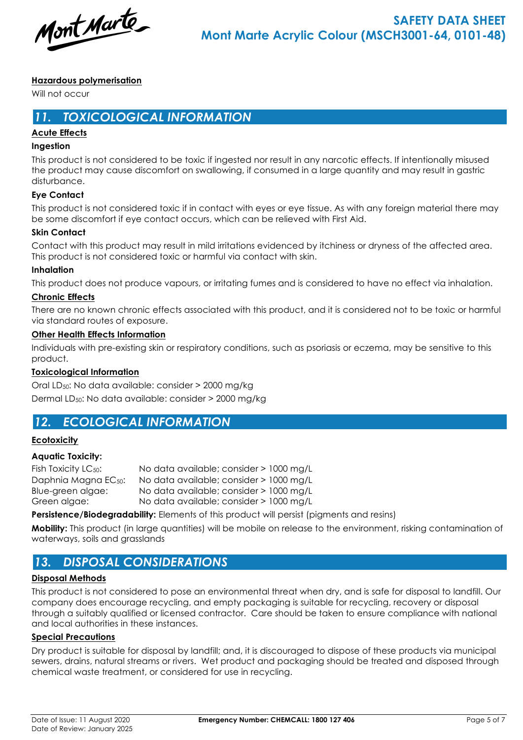Mont Marte

## **Hazardous polymerisation**

Will not occur

## *11. TOXICOLOGICAL INFORMATION*

## **Acute Effects**

#### **Ingestion**

This product is not considered to be toxic if ingested nor result in any narcotic effects. If intentionally misused the product may cause discomfort on swallowing, if consumed in a large quantity and may result in gastric disturbance.

## **Eye Contact**

This product is not considered toxic if in contact with eyes or eye tissue. As with any foreign material there may be some discomfort if eye contact occurs, which can be relieved with First Aid.

#### **Skin Contact**

Contact with this product may result in mild irritations evidenced by itchiness or dryness of the affected area. This product is not considered toxic or harmful via contact with skin.

#### **Inhalation**

This product does not produce vapours, or irritating fumes and is considered to have no effect via inhalation.

#### **Chronic Effects**

There are no known chronic effects associated with this product, and it is considered not to be toxic or harmful via standard routes of exposure.

#### **Other Health Effects Information**

Individuals with pre-existing skin or respiratory conditions, such as psoriasis or eczema, may be sensitive to this product.

## **Toxicological Information**

Oral LD50: No data available: consider > 2000 mg/kg Dermal LD50: No data available: consider > 2000 mg/kg

# *12. ECOLOGICAL INFORMATION*

## **Ecotoxicity**

## **Aquatic Toxicity:**

| Fish Toxicity LC <sub>50</sub> : | No data available; consider > 1000 mg/L |  |
|----------------------------------|-----------------------------------------|--|
| Daphnia Magna EC <sub>50</sub> : | No data available; consider > 1000 mg/L |  |
| Blue-green algae:                | No data available; consider > 1000 mg/L |  |
| Green algae:                     | No data available; consider > 1000 mg/L |  |

**Persistence/Biodegradability:** Elements of this product will persist (pigments and resins)

**Mobility:** This product (in large quantities) will be mobile on release to the environment, risking contamination of waterways, soils and grasslands

## *13. DISPOSAL CONSIDERATIONS*

## **Disposal Methods**

This product is not considered to pose an environmental threat when dry, and is safe for disposal to landfill. Our company does encourage recycling, and empty packaging is suitable for recycling, recovery or disposal through a suitably qualified or licensed contractor. Care should be taken to ensure compliance with national and local authorities in these instances.

## **Special Precautions**

Dry product is suitable for disposal by landfill; and, it is discouraged to dispose of these products via municipal sewers, drains, natural streams or rivers. Wet product and packaging should be treated and disposed through chemical waste treatment, or considered for use in recycling.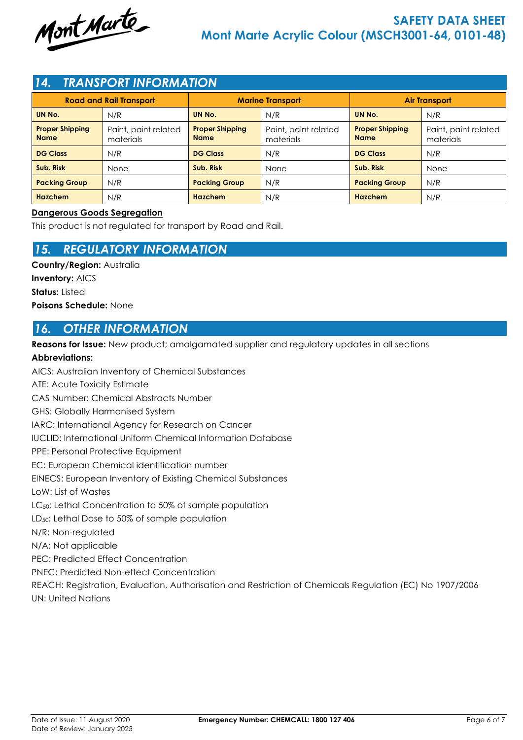

## *14. TRANSPORT INFORMATION*

| <b>Road and Rail Transport</b>        |                                   |                                       | <b>Marine Transport</b>           | <b>Air Transport</b>                  |                                   |  |
|---------------------------------------|-----------------------------------|---------------------------------------|-----------------------------------|---------------------------------------|-----------------------------------|--|
| UN No.                                | N/R                               | UN No.                                | N/R                               | UN No.                                | N/R                               |  |
| <b>Proper Shipping</b><br><b>Name</b> | Paint, paint related<br>materials | <b>Proper Shipping</b><br><b>Name</b> | Paint, paint related<br>materials | <b>Proper Shipping</b><br><b>Name</b> | Paint, paint related<br>materials |  |
| <b>DG Class</b>                       | N/R                               | <b>DG Class</b>                       | N/R                               | <b>DG Class</b>                       | N/R                               |  |
| Sub. Risk                             | <b>None</b>                       | Sub. Risk                             | None                              | Sub. Risk                             | None                              |  |
| <b>Packing Group</b>                  | N/R                               | <b>Packing Group</b>                  | N/R                               | <b>Packing Group</b>                  | N/R                               |  |
| <b>Hazchem</b>                        | N/R                               | <b>Hazchem</b>                        | N/R                               | Hazchem                               | N/R                               |  |

#### **Dangerous Goods Segregation**

This product is not regulated for transport by Road and Rail.

## *15. REGULATORY INFORMATION*

**Country/Region:** Australia **Inventory:** AICS **Status:** Listed **Poisons Schedule:** None

## *16. OTHER INFORMATION*

**Reasons for Issue:** New product; amalgamated supplier and regulatory updates in all sections

## **Abbreviations:**

AICS: Australian Inventory of Chemical Substances ATE: Acute Toxicity Estimate CAS Number: Chemical Abstracts Number GHS: Globally Harmonised System IARC: International Agency for Research on Cancer IUCLID: International Uniform Chemical Information Database PPE: Personal Protective Equipment EC: European Chemical identification number EINECS: European Inventory of Existing Chemical Substances LoW: List of Wastes LC<sub>50</sub>: Lethal Concentration to 50% of sample population LD50: Lethal Dose to 50% of sample population N/R: Non-regulated N/A: Not applicable PEC: Predicted Effect Concentration PNEC: Predicted Non-effect Concentration REACH: Registration, Evaluation, Authorisation and Restriction of Chemicals Regulation (EC) No 1907/2006 UN: United Nations